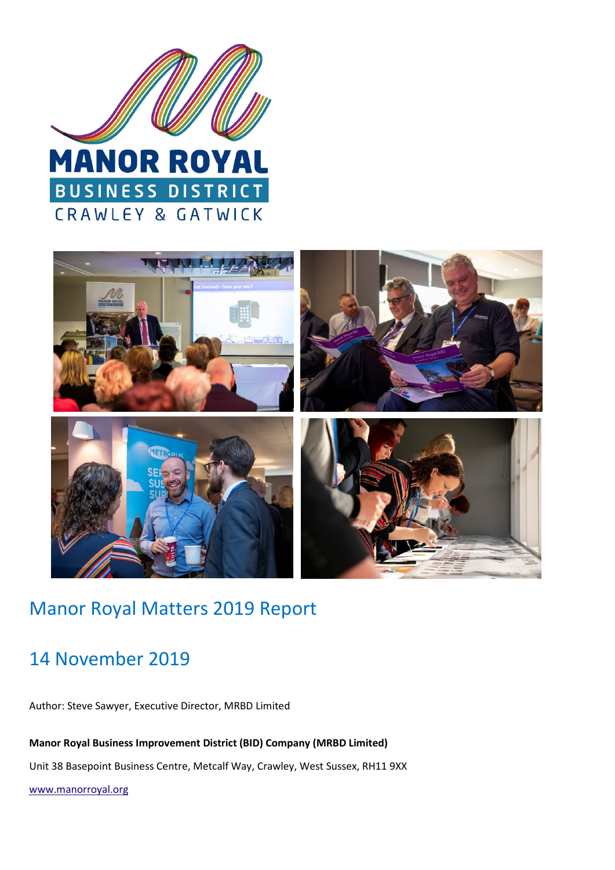



# Manor Royal Matters 2019 Report

# 14 November 2019

Author: Steve Sawyer, Executive Director, MRBD Limited

**Manor Royal Business Improvement District (BID) Company (MRBD Limited)** 

Unit 38 Basepoint Business Centre, Metcalf Way, Crawley, West Sussex, RH11 9XX

www.manorroyal.org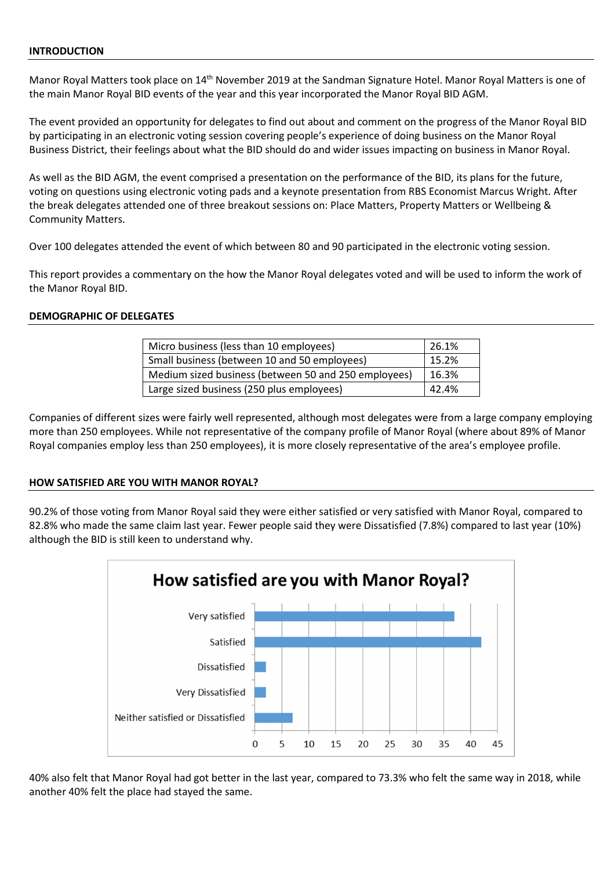#### **INTRODUCTION**

Manor Royal Matters took place on 14<sup>th</sup> November 2019 at the Sandman Signature Hotel. Manor Royal Matters is one of the main Manor Royal BID events of the year and this year incorporated the Manor Royal BID AGM.

The event provided an opportunity for delegates to find out about and comment on the progress of the Manor Royal BID by participating in an electronic voting session covering people's experience of doing business on the Manor Royal Business District, their feelings about what the BID should do and wider issues impacting on business in Manor Royal.

As well as the BID AGM, the event comprised a presentation on the performance of the BID, its plans for the future, voting on questions using electronic voting pads and a keynote presentation from RBS Economist Marcus Wright. After the break delegates attended one of three breakout sessions on: Place Matters, Property Matters or Wellbeing & Community Matters.

Over 100 delegates attended the event of which between 80 and 90 participated in the electronic voting session.

This report provides a commentary on the how the Manor Royal delegates voted and will be used to inform the work of the Manor Royal BID.

### **DEMOGRAPHIC OF DELEGATES**

| Micro business (less than 10 employees)              | 26.1% |
|------------------------------------------------------|-------|
| Small business (between 10 and 50 employees)         | 15.2% |
| Medium sized business (between 50 and 250 employees) | 16.3% |
| Large sized business (250 plus employees)            | 42.4% |

Companies of different sizes were fairly well represented, although most delegates were from a large company employing more than 250 employees. While not representative of the company profile of Manor Royal (where about 89% of Manor Royal companies employ less than 250 employees), it is more closely representative of the area's employee profile.

### **HOW SATISFIED ARE YOU WITH MANOR ROYAL?**

90.2% of those voting from Manor Royal said they were either satisfied or very satisfied with Manor Royal, compared to 82.8% who made the same claim last year. Fewer people said they were Dissatisfied (7.8%) compared to last year (10%) although the BID is still keen to understand why.



40% also felt that Manor Royal had got better in the last year, compared to 73.3% who felt the same way in 2018, while another 40% felt the place had stayed the same.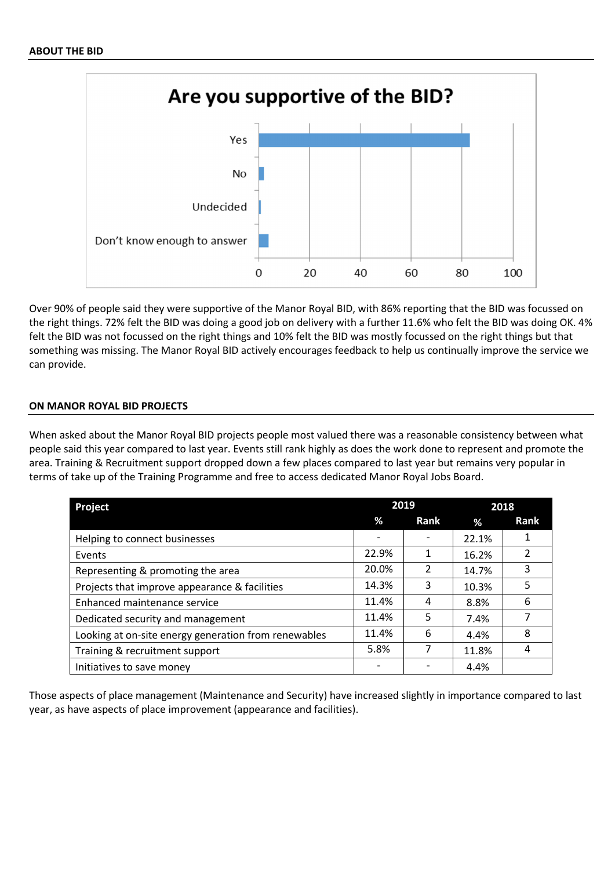

Over 90% of people said they were supportive of the Manor Royal BID, with 86% reporting that the BID was focussed on the right things. 72% felt the BID was doing a good job on delivery with a further 11.6% who felt the BID was doing OK. 4% felt the BID was not focussed on the right things and 10% felt the BID was mostly focussed on the right things but that something was missing. The Manor Royal BID actively encourages feedback to help us continually improve the service we can provide.

### **ON MANOR ROYAL BID PROJECTS**

When asked about the Manor Royal BID projects people most valued there was a reasonable consistency between what people said this year compared to last year. Events still rank highly as does the work done to represent and promote the area. Training & Recruitment support dropped down a few places compared to last year but remains very popular in terms of take up of the Training Programme and free to access dedicated Manor Royal Jobs Board.

| <b>Project</b>                                       | 2019  |      | 2018  |             |
|------------------------------------------------------|-------|------|-------|-------------|
|                                                      | %     | Rank | %     | <b>Rank</b> |
| Helping to connect businesses                        |       |      | 22.1% |             |
| Events                                               | 22.9% |      | 16.2% |             |
| Representing & promoting the area                    | 20.0% | 2    | 14.7% | 3           |
| Projects that improve appearance & facilities        | 14.3% | 3    | 10.3% | 5           |
| Enhanced maintenance service                         | 11.4% | 4    | 8.8%  | 6           |
| Dedicated security and management                    | 11.4% | 5    | 7.4%  |             |
| Looking at on-site energy generation from renewables | 11.4% | 6    | 4.4%  | 8           |
| Training & recruitment support                       | 5.8%  |      | 11.8% |             |
| Initiatives to save money                            |       |      | 4.4%  |             |

Those aspects of place management (Maintenance and Security) have increased slightly in importance compared to last year, as have aspects of place improvement (appearance and facilities).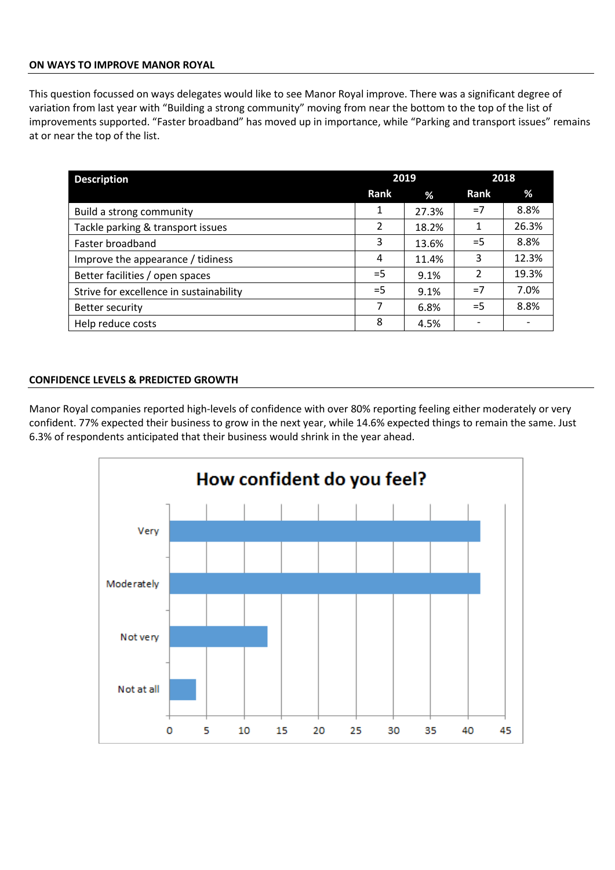### **ON WAYS TO IMPROVE MANOR ROYAL**

This question focussed on ways delegates would like to see Manor Royal improve. There was a significant degree of variation from last year with "Building a strong community" moving from near the bottom to the top of the list of improvements supported. "Faster broadband" has moved up in importance, while "Parking and transport issues" remains at or near the top of the list.

| <b>Description</b>                      | 2019  |       | 2018           |       |
|-----------------------------------------|-------|-------|----------------|-------|
|                                         | Rank  | %     | Rank           | %     |
| Build a strong community                | 1     | 27.3% | $=7$           | 8.8%  |
| Tackle parking & transport issues       | 2     | 18.2% | 1              | 26.3% |
| Faster broadband                        | 3     | 13.6% | $=$ 5          | 8.8%  |
| Improve the appearance / tidiness       | 4     | 11.4% | 3              | 12.3% |
| Better facilities / open spaces         | $=$ 5 | 9.1%  | $\overline{2}$ | 19.3% |
| Strive for excellence in sustainability | $=$ 5 | 9.1%  | $=7$           | 7.0%  |
| Better security                         | 7     | 6.8%  | $=$ 5          | 8.8%  |
| Help reduce costs                       | 8     | 4.5%  |                |       |

### **CONFIDENCE LEVELS & PREDICTED GROWTH**

Manor Royal companies reported high-levels of confidence with over 80% reporting feeling either moderately or very confident. 77% expected their business to grow in the next year, while 14.6% expected things to remain the same. Just 6.3% of respondents anticipated that their business would shrink in the year ahead.